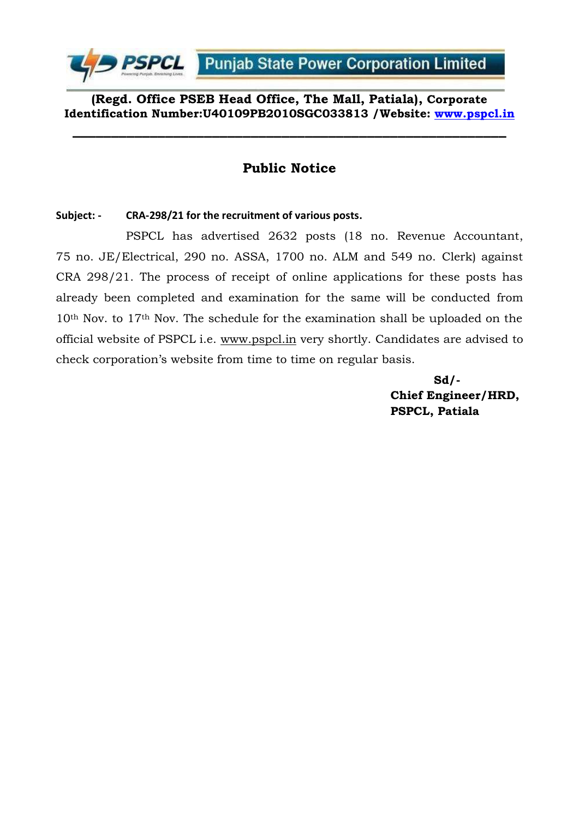

**(Regd. Office PSEB Head Office, The Mall, Patiala), Corporate Identification Number:U40109PB2010SGC033813 /Website: [www.pspcl.in](http://www.pspcl.in/)**

**\_\_\_\_\_\_\_\_\_\_\_\_\_\_\_\_\_\_\_\_\_\_\_\_\_\_\_\_\_\_\_\_\_\_\_\_\_\_\_\_\_\_\_\_\_\_\_\_\_\_\_\_\_\_\_\_**

# **Public Notice**

### **Subject: - CRA-298/21 for the recruitment of various posts.**

PSPCL has advertised 2632 posts (18 no. Revenue Accountant, 75 no. JE/Electrical, 290 no. ASSA, 1700 no. ALM and 549 no. Clerk) against CRA 298/21. The process of receipt of online applications for these posts has already been completed and examination for the same will be conducted from 10th Nov. to 17th Nov. The schedule for the examination shall be uploaded on the official website of PSPCL i.e. www.pspcl.in very shortly. Candidates are advised to check corporation's website from time to time on regular basis.

> **Sd/- Chief Engineer/HRD, PSPCL, Patiala**